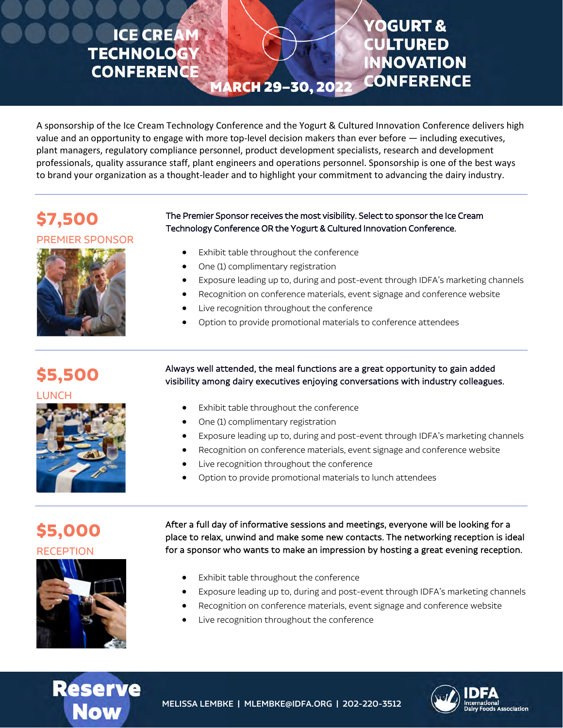## **ICE CREA TECHNOLOG CONFERENCE**

## **/OGURT & CULTURED NNOVATION CONFERENCE**

A sponsorship of the Ice Cream Technology Conference and the Yogurt & Cultured Innovation Conference delivers high value and an opportunity to engage with more top-level decision makers than ever before — including executives, plant managers, regulatory compliance personnel, product development specialists, research and development professionals, quality assurance staff, plant engineers and operations personnel. Sponsorship is one of the best ways to brand your organization as a thought-leader and to highlight your commitment to advancing the dairy industry.

MARCH 29-30, 20

## **\$7,500**

## PREMIER SPONSOR



# The Premier Sponsor receives the most visibility. Select to sponsor the Ice Cream Technology Conference OR the Yogurt & Cultured Innovation Conference.

- Exhibit table throughout the conference
- One (1) complimentary registration
- Exposure leading up to, during and post-event through IDFA's marketing channels
- Recognition on conference materials, event signage and conference website
- Live recognition throughout the conference
- Option to provide promotional materials to conference attendees

**\$5,500**

**LUNCH** 



Always well attended, the meal functions are a great opportunity to gain added visibility among dairy executives enjoying conversations with industry colleagues.

- Exhibit table throughout the conference
- One (1) complimentary registration
- Exposure leading up to, during and post-event through IDFA's marketing channels
- Recognition on conference materials, event signage and conference website
- Live recognition throughout the conference
- Option to provide promotional materials to lunch attendees

## **\$5,000 RECEPTION**



After a full day of informative sessions and meetings, everyone will be looking for a place to relax, unwind and make some new contacts. The networking reception is ideal for a sponsor who wants to make an impression by hosting a great evening reception.

- Exhibit table throughout the conference
- Exposure leading up to, during and post-event through IDFA's marketing channels
- Recognition on conference materials, event signage and conference website
- Live recognition throughout the conference